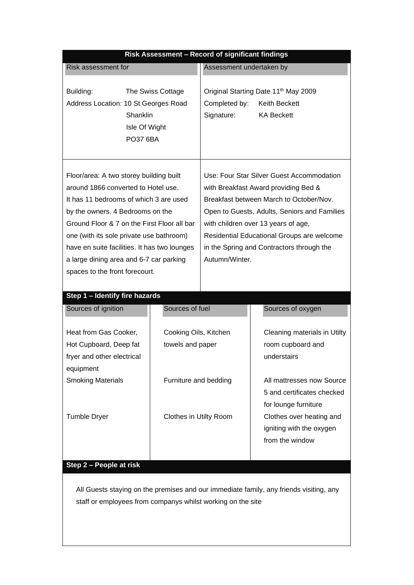| Risk Assessment - Record of significant findings                                                                                                                                                                                                                                                                                                                                     |                                                 |                                                                                                                                                                                                                                                                                                                                  |                                                                                                                                                            |  |  |
|--------------------------------------------------------------------------------------------------------------------------------------------------------------------------------------------------------------------------------------------------------------------------------------------------------------------------------------------------------------------------------------|-------------------------------------------------|----------------------------------------------------------------------------------------------------------------------------------------------------------------------------------------------------------------------------------------------------------------------------------------------------------------------------------|------------------------------------------------------------------------------------------------------------------------------------------------------------|--|--|
| Risk assessment for                                                                                                                                                                                                                                                                                                                                                                  |                                                 | Assessment undertaken by                                                                                                                                                                                                                                                                                                         |                                                                                                                                                            |  |  |
| Building:<br>Address Location: 10 St Georges Road<br><b>Shanklin</b><br>Isle Of Wight<br><b>PO37 6BA</b>                                                                                                                                                                                                                                                                             | The Swiss Cottage                               | Completed by:<br>Signature:                                                                                                                                                                                                                                                                                                      | Original Starting Date 11 <sup>th</sup> May 2009<br>Keith Beckett<br><b>KA Beckett</b>                                                                     |  |  |
| Floor/area: A two storey building built<br>around 1866 converted to Hotel use.<br>It has 11 bedrooms of which 3 are used<br>by the owners. 4 Bedrooms on the<br>Ground Floor & 7 on the First Floor all bar<br>one (with its sole private use bathroom)<br>have en suite facilities. It has two lounges<br>a large dining area and 6-7 car parking<br>spaces to the front forecourt. |                                                 | Use: Four Star Silver Guest Accommodation<br>with Breakfast Award providing Bed &<br>Breakfast between March to October/Nov.<br>Open to Guests, Adults, Seniors and Families<br>with children over 13 years of age,<br>Residential Educational Groups are welcome<br>in the Spring and Contractors through the<br>Autumn/Winter. |                                                                                                                                                            |  |  |
| Step 1 - Identify fire hazards                                                                                                                                                                                                                                                                                                                                                       |                                                 |                                                                                                                                                                                                                                                                                                                                  |                                                                                                                                                            |  |  |
| Sources of ignition                                                                                                                                                                                                                                                                                                                                                                  | Sources of fuel                                 |                                                                                                                                                                                                                                                                                                                                  | Sources of oxygen                                                                                                                                          |  |  |
| Heat from Gas Cooker,<br>Hot Cupboard, Deep fat<br>fryer and other electrical<br>equipment                                                                                                                                                                                                                                                                                           | Cooking Oils, Kitchen<br>towels and paper       |                                                                                                                                                                                                                                                                                                                                  | Cleaning materials in Utilty<br>room cupboard and<br>understairs                                                                                           |  |  |
| <b>Smoking Materials</b><br><b>Tumble Dryer</b>                                                                                                                                                                                                                                                                                                                                      | Furniture and bedding<br>Clothes in Utilty Room |                                                                                                                                                                                                                                                                                                                                  | All mattresses now Source<br>5 and certificates checked<br>for lounge furniture<br>Clothes over heating and<br>igniting with the oxygen<br>from the window |  |  |
| Step 2 - People at risk                                                                                                                                                                                                                                                                                                                                                              |                                                 |                                                                                                                                                                                                                                                                                                                                  |                                                                                                                                                            |  |  |

All Guests staying on the premises and our immediate family, any friends visiting, any staff or employees from companys whilst working on the site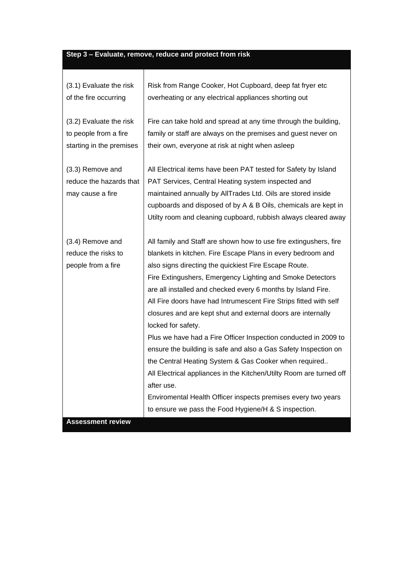## **Step 3 – Evaluate, remove, reduce and protect from risk**

Т

| (3.1) Evaluate the risk                                         | Risk from Range Cooker, Hot Cupboard, deep fat fryer etc                                                                                                                                                                                                                                                                                                                                                                                                                                                                                                                                                                                                                                                                                                                                                                                                                                       |  |  |
|-----------------------------------------------------------------|------------------------------------------------------------------------------------------------------------------------------------------------------------------------------------------------------------------------------------------------------------------------------------------------------------------------------------------------------------------------------------------------------------------------------------------------------------------------------------------------------------------------------------------------------------------------------------------------------------------------------------------------------------------------------------------------------------------------------------------------------------------------------------------------------------------------------------------------------------------------------------------------|--|--|
| of the fire occurring                                           | overheating or any electrical appliances shorting out                                                                                                                                                                                                                                                                                                                                                                                                                                                                                                                                                                                                                                                                                                                                                                                                                                          |  |  |
| (3.2) Evaluate the risk                                         | Fire can take hold and spread at any time through the building,                                                                                                                                                                                                                                                                                                                                                                                                                                                                                                                                                                                                                                                                                                                                                                                                                                |  |  |
| to people from a fire                                           | family or staff are always on the premises and guest never on                                                                                                                                                                                                                                                                                                                                                                                                                                                                                                                                                                                                                                                                                                                                                                                                                                  |  |  |
| starting in the premises                                        | their own, everyone at risk at night when asleep                                                                                                                                                                                                                                                                                                                                                                                                                                                                                                                                                                                                                                                                                                                                                                                                                                               |  |  |
| (3.3) Remove and<br>reduce the hazards that<br>may cause a fire | All Electrical items have been PAT tested for Safety by Island<br>PAT Services, Central Heating system inspected and<br>maintained annually by AllTrades Ltd. Oils are stored inside<br>cupboards and disposed of by A & B Oils, chemicals are kept in<br>Utilty room and cleaning cupboard, rubbish always cleared away                                                                                                                                                                                                                                                                                                                                                                                                                                                                                                                                                                       |  |  |
| (3.4) Remove and<br>reduce the risks to<br>people from a fire   | All family and Staff are shown how to use fire extingushers, fire<br>blankets in kitchen. Fire Escape Plans in every bedroom and<br>also signs directing the quickiest Fire Escape Route.<br>Fire Extingushers, Emergency Lighting and Smoke Detectors<br>are all installed and checked every 6 months by Island Fire.<br>All Fire doors have had Intrumescent Fire Strips fitted with self<br>closures and are kept shut and external doors are internally<br>locked for safety.<br>Plus we have had a Fire Officer Inspection conducted in 2009 to<br>ensure the building is safe and also a Gas Safety Inspection on<br>the Central Heating System & Gas Cooker when required<br>All Electrical appliances in the Kitchen/Utilty Room are turned off<br>after use.<br>Enviromental Health Officer inspects premises every two years<br>to ensure we pass the Food Hygiene/H & S inspection. |  |  |

**Assessment review**